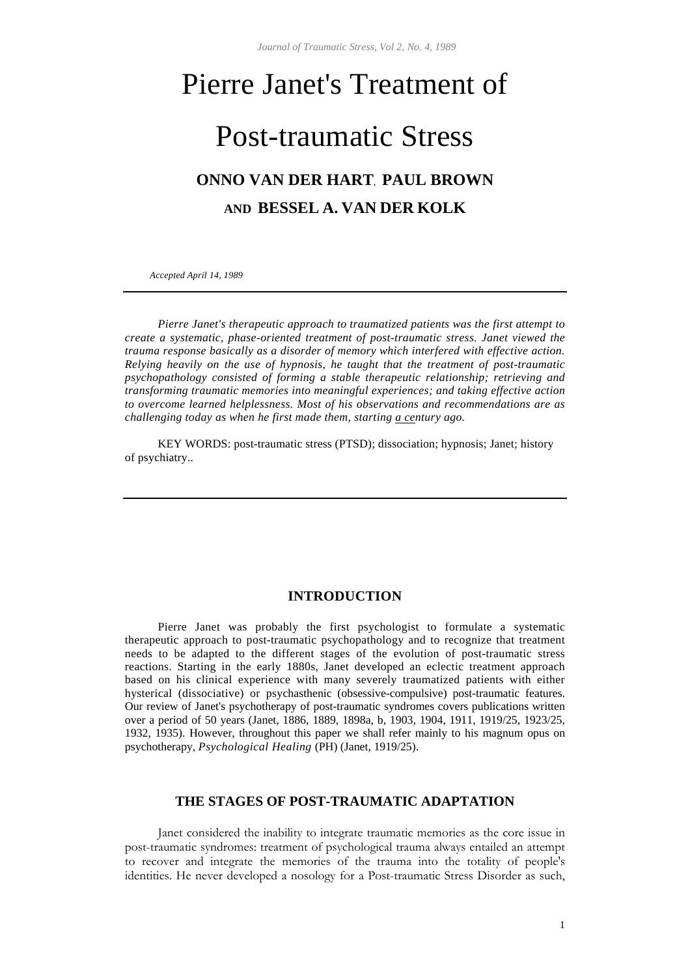# Pierre Janet's Treatment of Post-traumatic Stress **ONNO VAN DER HART**, **PAUL BROWN AND BESSEL A. VAN DER KOLK**

*Accepted April 14, 1989* 

*Pierre Janet's therapeutic approach to traumatized patients was the first attempt to create a systematic, phase-oriented treatment of post-traumatic stress. Janet viewed the trauma response basically as a disorder of memory which interfered with effective action. Relying heavily on the use of hypnosis, he taught that the treatment of post-traumatic psychopathology consisted of forming a stable therapeutic relationship; retrieving and transforming traumatic memories into meaningful experiences; and taking effective action to overcome learned helplessness. Most of his observations and recommendations are as challenging today as when he first made them, starting a century ago.* 

KEY WORDS: post-traumatic stress (PTSD); dissociation; hypnosis; Janet; history of psychiatry..

## **INTRODUCTION**

Pierre Janet was probably the first psychologist to formulate a systematic therapeutic approach to post-traumatic psychopathology and to recognize that treatment needs to be adapted to the different stages of the evolution of post-traumatic stress reactions. Starting in the early 1880s, Janet developed an eclectic treatment approach based on his clinical experience with many severely traumatized patients with either hysterical (dissociative) or psychasthenic (obsessive-compulsive) post-traumatic features. Our review of Janet's psychotherapy of post-traumatic syndromes covers publications written over a period of 50 years (Janet, 1886, 1889, 1898a, b, 1903, 1904, 1911, 1919/25, 1923/25, 1932, 1935). However, throughout this paper we shall refer mainly to his magnum opus on psychotherapy, *Psychological Healing* (PH) (Janet, 1919/25).

## **THE STAGES OF POST-TRAUMATIC ADAPTATION**

Janet considered the inability to integrate traumatic memories as the core issue in post-traumatic syndromes: treatment of psychological trauma always entailed an attempt to recover and integrate the memories of the trauma into the totality of people's identities. He never developed a nosology for a Post-traumatic Stress Disorder as such,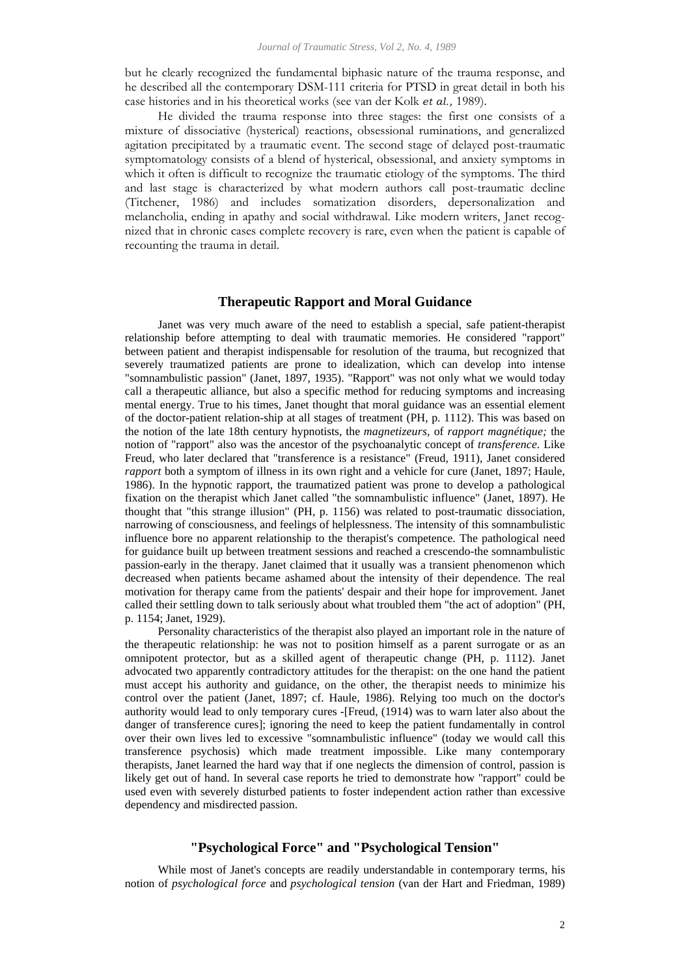but he clearly recognized the fundamental biphasic nature of the trauma response, and he described all the contemporary DSM-111 criteria for PTSD in great detail in both his case histories and in his theoretical works (see van der Kolk *et al.,* 1989).

He divided the trauma response into three stages: the first one consists of a mixture of dissociative (hysterical) reactions, obsessional ruminations, and generalized agitation precipitated by a traumatic event. The second stage of delayed post-traumatic symptomatology consists of a blend of hysterical, obsessional, and anxiety symptoms in which it often is difficult to recognize the traumatic etiology of the symptoms. The third and last stage is characterized by what modern authors call post-traumatic decline (Titchener, 1986) and includes somatization disorders, depersonalization and melancholia, ending in apathy and social withdrawal. Like modern writers, Janet recognized that in chronic cases complete recovery is rare, even when the patient is capable of recounting the trauma in detail.

#### **Therapeutic Rapport and Moral Guidance**

Janet was very much aware of the need to establish a special, safe patient-therapist relationship before attempting to deal with traumatic memories. He considered "rapport" between patient and therapist indispensable for resolution of the trauma, but recognized that severely traumatized patients are prone to idealization, which can develop into intense "somnambulistic passion" (Janet, 1897, 1935). "Rapport" was not only what we would today call a therapeutic alliance, but also a specific method for reducing symptoms and increasing mental energy. True to his times, Janet thought that moral guidance was an essential element of the doctor-patient relation-ship at all stages of treatment (PH, p. 1112). This was based on the notion of the late 18th century hypnotists, the *magnetizeurs,* of *rapport magnétique;* the notion of "rapport" also was the ancestor of the psychoanalytic concept of *transference.* Like Freud, who later declared that "transference is a resistance" (Freud, 1911), Janet considered *rapport* both a symptom of illness in its own right and a vehicle for cure (Janet, 1897; Haule, 1986). In the hypnotic rapport, the traumatized patient was prone to develop a pathological fixation on the therapist which Janet called "the somnambulistic influence" (Janet, 1897). He thought that "this strange illusion" (PH, p. 1156) was related to post-traumatic dissociation, narrowing of consciousness, and feelings of helplessness. The intensity of this somnambulistic influence bore no apparent relationship to the therapist's competence. The pathological need for guidance built up between treatment sessions and reached a crescendo-the somnambulistic passion-early in the therapy. Janet claimed that it usually was a transient phenomenon which decreased when patients became ashamed about the intensity of their dependence. The real motivation for therapy came from the patients' despair and their hope for improvement. Janet called their settling down to talk seriously about what troubled them "the act of adoption" (PH, p. 1154; Janet, 1929).

Personality characteristics of the therapist also played an important role in the nature of the therapeutic relationship: he was not to position himself as a parent surrogate or as an omnipotent protector, but as a skilled agent of therapeutic change (PH, p. 1112). Janet advocated two apparently contradictory attitudes for the therapist: on the one hand the patient must accept his authority and guidance, on the other, the therapist needs to minimize his control over the patient (Janet, 1897; cf. Haule, 1986). Relying too much on the doctor's authority would lead to only temporary cures -[Freud, (1914) was to warn later also about the danger of transference cures]; ignoring the need to keep the patient fundamentally in control over their own lives led to excessive "somnambulistic influence" (today we would call this transference psychosis) which made treatment impossible. Like many contemporary therapists, Janet learned the hard way that if one neglects the dimension of control, passion is likely get out of hand. In several case reports he tried to demonstrate how "rapport" could be used even with severely disturbed patients to foster independent action rather than excessive dependency and misdirected passion.

# **"Psychological Force" and "Psychological Tension"**

While most of Janet's concepts are readily understandable in contemporary terms, his notion of *psychological force* and *psychological tension* (van der Hart and Friedman, 1989)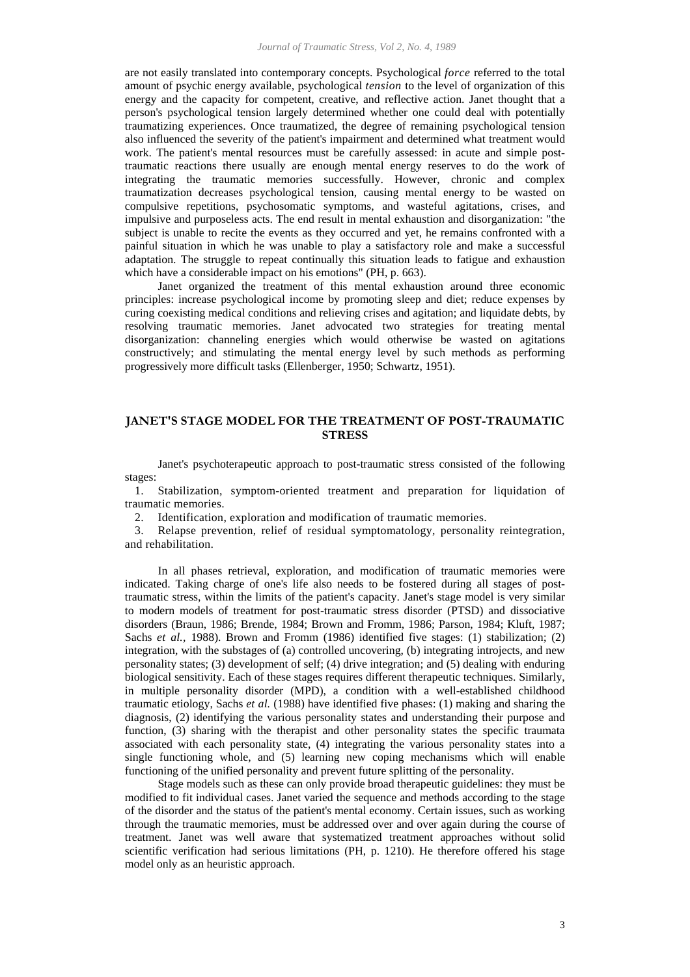are not easily translated into contemporary concepts. Psychological *force* referred to the total amount of psychic energy available, psychological *tension* to the level of organization of this energy and the capacity for competent, creative, and reflective action. Janet thought that a person's psychological tension largely determined whether one could deal with potentially traumatizing experiences. Once traumatized, the degree of remaining psychological tension also influenced the severity of the patient's impairment and determined what treatment would work. The patient's mental resources must be carefully assessed: in acute and simple posttraumatic reactions there usually are enough mental energy reserves to do the work of integrating the traumatic memories successfully. However, chronic and complex traumatization decreases psychological tension, causing mental energy to be wasted on compulsive repetitions, psychosomatic symptoms, and wasteful agitations, crises, and impulsive and purposeless acts. The end result in mental exhaustion and disorganization: "the subject is unable to recite the events as they occurred and yet, he remains confronted with a painful situation in which he was unable to play a satisfactory role and make a successful adaptation. The struggle to repeat continually this situation leads to fatigue and exhaustion which have a considerable impact on his emotions" (PH, p. 663).

Janet organized the treatment of this mental exhaustion around three economic principles: increase psychological income by promoting sleep and diet; reduce expenses by curing coexisting medical conditions and relieving crises and agitation; and liquidate debts, by resolving traumatic memories. Janet advocated two strategies for treating mental disorganization: channeling energies which would otherwise be wasted on agitations constructively; and stimulating the mental energy level by such methods as performing progressively more difficult tasks (Ellenberger, 1950; Schwartz, 1951).

#### **JANET'S STAGE MODEL FOR THE TREATMENT OF POST-TRAUMATIC STRESS**

Janet's psychoterapeutic approach to post-traumatic stress consisted of the following stages:

1. Stabilization, symptom-oriented treatment and preparation for liquidation of traumatic memories.

2. Identification, exploration and modification of traumatic memories.

3. Relapse prevention, relief of residual symptomatology, personality reintegration, and rehabilitation.

In all phases retrieval, exploration, and modification of traumatic memories were indicated. Taking charge of one's life also needs to be fostered during all stages of posttraumatic stress, within the limits of the patient's capacity. Janet's stage model is very similar to modern models of treatment for post-traumatic stress disorder (PTSD) and dissociative disorders (Braun, 1986; Brende, 1984; Brown and Fromm, 1986; Parson, 1984; Kluft, 1987; Sachs *et al.,* 1988). Brown and Fromm (1986) identified five stages: (1) stabilization; (2) integration, with the substages of (a) controlled uncovering, (b) integrating introjects, and new personality states; (3) development of self; (4) drive integration; and (5) dealing with enduring biological sensitivity. Each of these stages requires different therapeutic techniques. Similarly, in multiple personality disorder (MPD), a condition with a well-established childhood traumatic etiology, Sachs *et al.* (1988) have identified five phases: (1) making and sharing the diagnosis, (2) identifying the various personality states and understanding their purpose and function, (3) sharing with the therapist and other personality states the specific traumata associated with each personality state, (4) integrating the various personality states into a single functioning whole, and (5) learning new coping mechanisms which will enable functioning of the unified personality and prevent future splitting of the personality.

Stage models such as these can only provide broad therapeutic guidelines: they must be modified to fit individual cases. Janet varied the sequence and methods according to the stage of the disorder and the status of the patient's mental economy. Certain issues, such as working through the traumatic memories, must be addressed over and over again during the course of treatment. Janet was well aware that systematized treatment approaches without solid scientific verification had serious limitations (PH, p. 1210). He therefore offered his stage model only as an heuristic approach.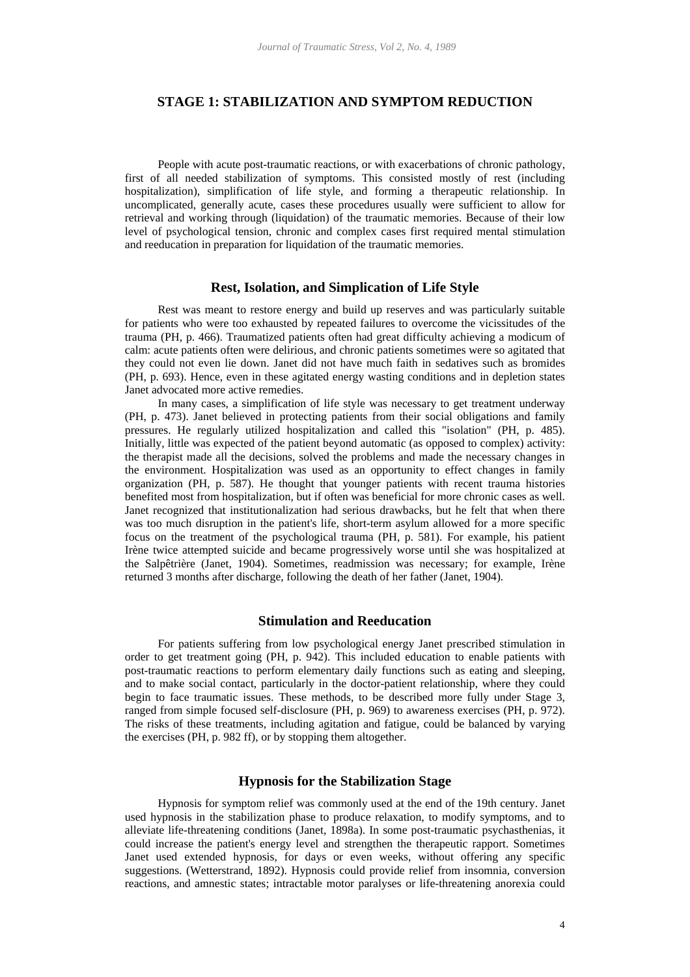## **STAGE 1: STABILIZATION AND SYMPTOM REDUCTION**

People with acute post-traumatic reactions, or with exacerbations of chronic pathology, first of all needed stabilization of symptoms. This consisted mostly of rest (including hospitalization), simplification of life style, and forming a therapeutic relationship. In uncomplicated, generally acute, cases these procedures usually were sufficient to allow for retrieval and working through (liquidation) of the traumatic memories. Because of their low level of psychological tension, chronic and complex cases first required mental stimulation and reeducation in preparation for liquidation of the traumatic memories.

#### **Rest, Isolation, and Simplication of Life Style**

Rest was meant to restore energy and build up reserves and was particularly suitable for patients who were too exhausted by repeated failures to overcome the vicissitudes of the trauma (PH, p. 466). Traumatized patients often had great difficulty achieving a modicum of calm: acute patients often were delirious, and chronic patients sometimes were so agitated that they could not even lie down. Janet did not have much faith in sedatives such as bromides (PH, p. 693). Hence, even in these agitated energy wasting conditions and in depletion states Janet advocated more active remedies.

In many cases, a simplification of life style was necessary to get treatment underway (PH, p. 473). Janet believed in protecting patients from their social obligations and family pressures. He regularly utilized hospitalization and called this "isolation" (PH, p. 485). Initially, little was expected of the patient beyond automatic (as opposed to complex) activity: the therapist made all the decisions, solved the problems and made the necessary changes in the environment. Hospitalization was used as an opportunity to effect changes in family organization (PH, p. 587). He thought that younger patients with recent trauma histories benefited most from hospitalization, but if often was beneficial for more chronic cases as well. Janet recognized that institutionalization had serious drawbacks, but he felt that when there was too much disruption in the patient's life, short-term asylum allowed for a more specific focus on the treatment of the psychological trauma (PH, p. 581). For example, his patient Irène twice attempted suicide and became progressively worse until she was hospitalized at the Salpêtrière (Janet, 1904). Sometimes, readmission was necessary; for example, Irène returned 3 months after discharge, following the death of her father (Janet, 1904).

## **Stimulation and Reeducation**

For patients suffering from low psychological energy Janet prescribed stimulation in order to get treatment going (PH, p. 942). This included education to enable patients with post-traumatic reactions to perform elementary daily functions such as eating and sleeping, and to make social contact, particularly in the doctor-patient relationship, where they could begin to face traumatic issues. These methods, to be described more fully under Stage 3, ranged from simple focused self-disclosure (PH, p. 969) to awareness exercises (PH, p. 972). The risks of these treatments, including agitation and fatigue, could be balanced by varying the exercises (PH, p. 982 ff), or by stopping them altogether.

#### **Hypnosis for the Stabilization Stage**

Hypnosis for symptom relief was commonly used at the end of the 19th century. Janet used hypnosis in the stabilization phase to produce relaxation, to modify symptoms, and to alleviate life-threatening conditions (Janet, 1898a). In some post-traumatic psychasthenias, it could increase the patient's energy level and strengthen the therapeutic rapport. Sometimes Janet used extended hypnosis, for days or even weeks, without offering any specific suggestions. (Wetterstrand, 1892). Hypnosis could provide relief from insomnia, conversion reactions, and amnestic states; intractable motor paralyses or life-threatening anorexia could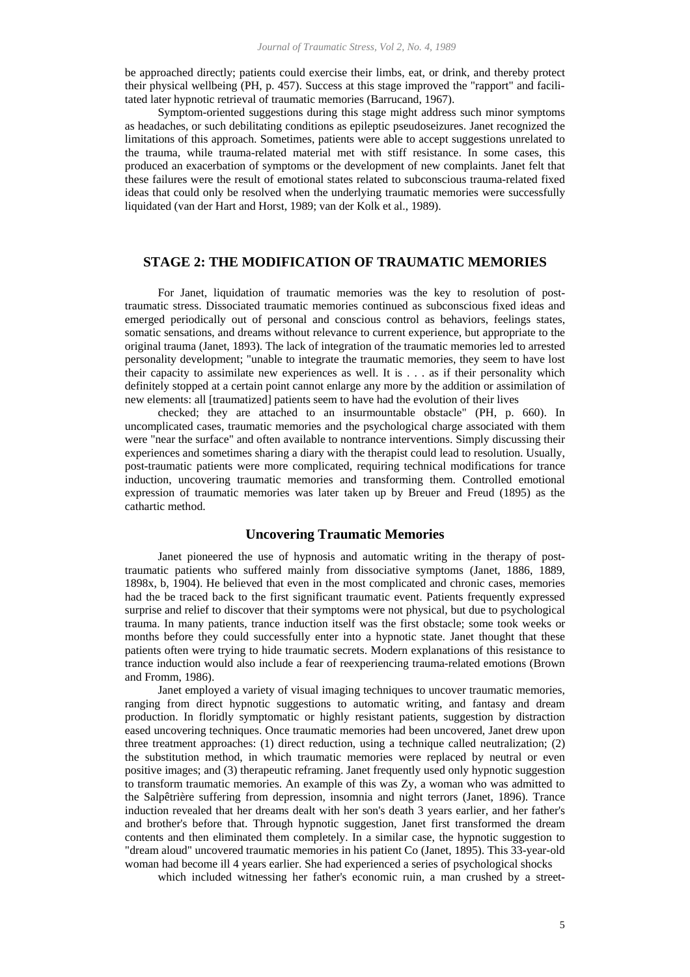be approached directly; patients could exercise their limbs, eat, or drink, and thereby protect their physical wellbeing (PH, p. 457). Success at this stage improved the "rapport" and facilitated later hypnotic retrieval of traumatic memories (Barrucand, 1967).

Symptom-oriented suggestions during this stage might address such minor symptoms as headaches, or such debilitating conditions as epileptic pseudoseizures. Janet recognized the limitations of this approach. Sometimes, patients were able to accept suggestions unrelated to the trauma, while trauma-related material met with stiff resistance. In some cases, this produced an exacerbation of symptoms or the development of new complaints. Janet felt that these failures were the result of emotional states related to subconscious trauma-related fixed ideas that could only be resolved when the underlying traumatic memories were successfully liquidated (van der Hart and Horst, 1989; van der Kolk et al., 1989).

# **STAGE 2: THE MODIFICATION OF TRAUMATIC MEMORIES**

For Janet, liquidation of traumatic memories was the key to resolution of posttraumatic stress. Dissociated traumatic memories continued as subconscious fixed ideas and emerged periodically out of personal and conscious control as behaviors, feelings states, somatic sensations, and dreams without relevance to current experience, but appropriate to the original trauma (Janet, 1893). The lack of integration of the traumatic memories led to arrested personality development; "unable to integrate the traumatic memories, they seem to have lost their capacity to assimilate new experiences as well. It is . . . as if their personality which definitely stopped at a certain point cannot enlarge any more by the addition or assimilation of new elements: all [traumatized] patients seem to have had the evolution of their lives

checked; they are attached to an insurmountable obstacle" (PH, p. 660). In uncomplicated cases, traumatic memories and the psychological charge associated with them were "near the surface" and often available to nontrance interventions. Simply discussing their experiences and sometimes sharing a diary with the therapist could lead to resolution. Usually, post-traumatic patients were more complicated, requiring technical modifications for trance induction, uncovering traumatic memories and transforming them. Controlled emotional expression of traumatic memories was later taken up by Breuer and Freud (1895) as the cathartic method.

#### **Uncovering Traumatic Memories**

Janet pioneered the use of hypnosis and automatic writing in the therapy of posttraumatic patients who suffered mainly from dissociative symptoms (Janet, 1886, 1889, 1898x, b, 1904). He believed that even in the most complicated and chronic cases, memories had the be traced back to the first significant traumatic event. Patients frequently expressed surprise and relief to discover that their symptoms were not physical, but due to psychological trauma. In many patients, trance induction itself was the first obstacle; some took weeks or months before they could successfully enter into a hypnotic state. Janet thought that these patients often were trying to hide traumatic secrets. Modern explanations of this resistance to trance induction would also include a fear of reexperiencing trauma-related emotions (Brown and Fromm, 1986).

Janet employed a variety of visual imaging techniques to uncover traumatic memories, ranging from direct hypnotic suggestions to automatic writing, and fantasy and dream production. In floridly symptomatic or highly resistant patients, suggestion by distraction eased uncovering techniques. Once traumatic memories had been uncovered, Janet drew upon three treatment approaches: (1) direct reduction, using a technique called neutralization; (2) the substitution method, in which traumatic memories were replaced by neutral or even positive images; and (3) therapeutic reframing. Janet frequently used only hypnotic suggestion to transform traumatic memories. An example of this was Zy, a woman who was admitted to the Salpêtrière suffering from depression, insomnia and night terrors (Janet, 1896). Trance induction revealed that her dreams dealt with her son's death 3 years earlier, and her father's and brother's before that. Through hypnotic suggestion, Janet first transformed the dream contents and then eliminated them completely. In a similar case, the hypnotic suggestion to "dream aloud" uncovered traumatic memories in his patient Co (Janet, 1895). This 33-year-old woman had become ill 4 years earlier. She had experienced a series of psychological shocks

which included witnessing her father's economic ruin, a man crushed by a street-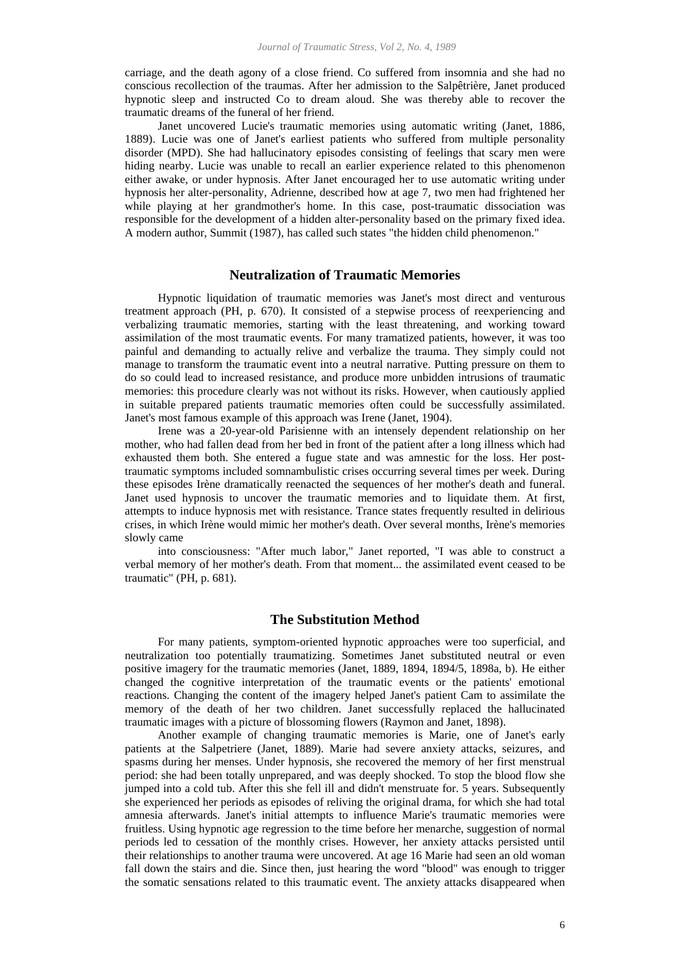carriage, and the death agony of a close friend. Co suffered from insomnia and she had no conscious recollection of the traumas. After her admission to the Salpêtrière, Janet produced hypnotic sleep and instructed Co to dream aloud. She was thereby able to recover the traumatic dreams of the funeral of her friend.

Janet uncovered Lucie's traumatic memories using automatic writing (Janet, 1886, 1889). Lucie was one of Janet's earliest patients who suffered from multiple personality disorder (MPD). She had hallucinatory episodes consisting of feelings that scary men were hiding nearby. Lucie was unable to recall an earlier experience related to this phenomenon either awake, or under hypnosis. After Janet encouraged her to use automatic writing under hypnosis her alter-personality, Adrienne, described how at age 7, two men had frightened her while playing at her grandmother's home. In this case, post-traumatic dissociation was responsible for the development of a hidden alter-personality based on the primary fixed idea. A modern author, Summit (1987), has called such states "the hidden child phenomenon."

#### **Neutralization of Traumatic Memories**

Hypnotic liquidation of traumatic memories was Janet's most direct and venturous treatment approach (PH, p. 670). It consisted of a stepwise process of reexperiencing and verbalizing traumatic memories, starting with the least threatening, and working toward assimilation of the most traumatic events. For many tramatized patients, however, it was too painful and demanding to actually relive and verbalize the trauma. They simply could not manage to transform the traumatic event into a neutral narrative. Putting pressure on them to do so could lead to increased resistance, and produce more unbidden intrusions of traumatic memories: this procedure clearly was not without its risks. However, when cautiously applied in suitable prepared patients traumatic memories often could be successfully assimilated. Janet's most famous example of this approach was Irene (Janet, 1904).

Irene was a 20-year-old Parisienne with an intensely dependent relationship on her mother, who had fallen dead from her bed in front of the patient after a long illness which had exhausted them both. She entered a fugue state and was amnestic for the loss. Her posttraumatic symptoms included somnambulistic crises occurring several times per week. During these episodes Irène dramatically reenacted the sequences of her mother's death and funeral. Janet used hypnosis to uncover the traumatic memories and to liquidate them. At first, attempts to induce hypnosis met with resistance. Trance states frequently resulted in delirious crises, in which Irène would mimic her mother's death. Over several months, Irène's memories slowly came

into consciousness: "After much labor," Janet reported, "I was able to construct a verbal memory of her mother's death. From that moment... the assimilated event ceased to be traumatic" (PH, p. 681).

#### **The Substitution Method**

For many patients, symptom-oriented hypnotic approaches were too superficial, and neutralization too potentially traumatizing. Sometimes Janet substituted neutral or even positive imagery for the traumatic memories (Janet, 1889, 1894, 1894/5, 1898a, b). He either changed the cognitive interpretation of the traumatic events or the patients' emotional reactions. Changing the content of the imagery helped Janet's patient Cam to assimilate the memory of the death of her two children. Janet successfully replaced the hallucinated traumatic images with a picture of blossoming flowers (Raymon and Janet, 1898).

Another example of changing traumatic memories is Marie, one of Janet's early patients at the Salpetriere (Janet, 1889). Marie had severe anxiety attacks, seizures, and spasms during her menses. Under hypnosis, she recovered the memory of her first menstrual period: she had been totally unprepared, and was deeply shocked. To stop the blood flow she jumped into a cold tub. After this she fell ill and didn't menstruate for. 5 years. Subsequently she experienced her periods as episodes of reliving the original drama, for which she had total amnesia afterwards. Janet's initial attempts to influence Marie's traumatic memories were fruitless. Using hypnotic age regression to the time before her menarche, suggestion of normal periods led to cessation of the monthly crises. However, her anxiety attacks persisted until their relationships to another trauma were uncovered. At age 16 Marie had seen an old woman fall down the stairs and die. Since then, just hearing the word "blood" was enough to trigger the somatic sensations related to this traumatic event. The anxiety attacks disappeared when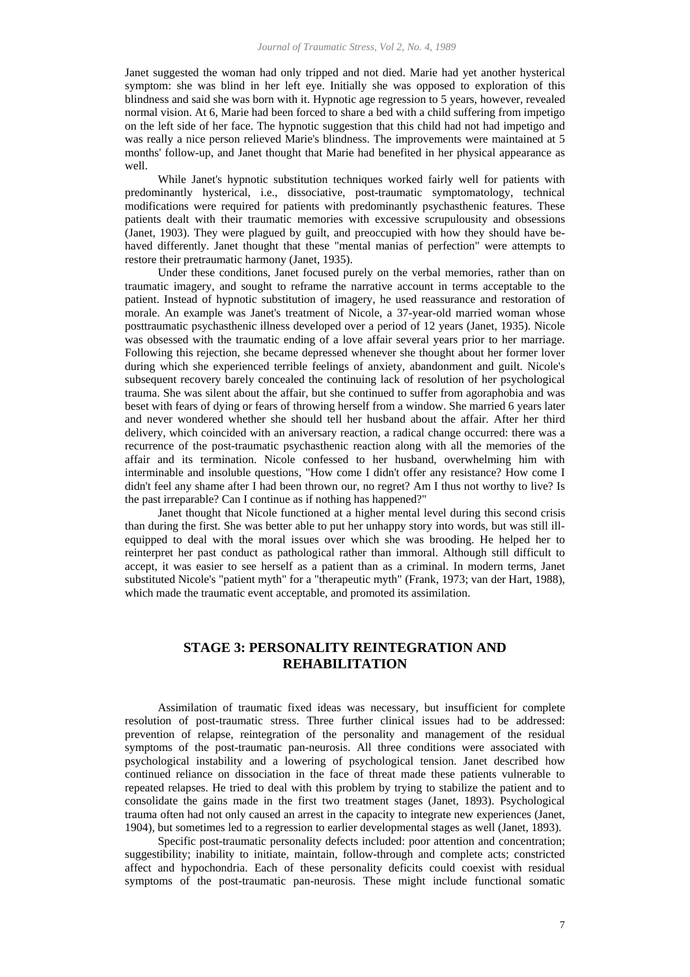Janet suggested the woman had only tripped and not died. Marie had yet another hysterical symptom: she was blind in her left eye. Initially she was opposed to exploration of this blindness and said she was born with it. Hypnotic age regression to 5 years, however, revealed normal vision. At 6, Marie had been forced to share a bed with a child suffering from impetigo on the left side of her face. The hypnotic suggestion that this child had not had impetigo and was really a nice person relieved Marie's blindness. The improvements were maintained at 5 months' follow-up, and Janet thought that Marie had benefited in her physical appearance as well.

While Janet's hypnotic substitution techniques worked fairly well for patients with predominantly hysterical, i.e., dissociative, post-traumatic symptomatology, technical modifications were required for patients with predominantly psychasthenic features. These patients dealt with their traumatic memories with excessive scrupulousity and obsessions (Janet, 1903). They were plagued by guilt, and preoccupied with how they should have behaved differently. Janet thought that these "mental manias of perfection" were attempts to restore their pretraumatic harmony (Janet, 1935).

Under these conditions, Janet focused purely on the verbal memories, rather than on traumatic imagery, and sought to reframe the narrative account in terms acceptable to the patient. Instead of hypnotic substitution of imagery, he used reassurance and restoration of morale. An example was Janet's treatment of Nicole, a 37-year-old married woman whose posttraumatic psychasthenic illness developed over a period of 12 years (Janet, 1935). Nicole was obsessed with the traumatic ending of a love affair several years prior to her marriage. Following this rejection, she became depressed whenever she thought about her former lover during which she experienced terrible feelings of anxiety, abandonment and guilt. Nicole's subsequent recovery barely concealed the continuing lack of resolution of her psychological trauma. She was silent about the affair, but she continued to suffer from agoraphobia and was beset with fears of dying or fears of throwing herself from a window. She married 6 years later and never wondered whether she should tell her husband about the affair. After her third delivery, which coincided with an aniversary reaction, a radical change occurred: there was a recurrence of the post-traumatic psychasthenic reaction along with all the memories of the affair and its termination. Nicole confessed to her husband, overwhelming him with interminable and insoluble questions, "How come I didn't offer any resistance? How come I didn't feel any shame after I had been thrown our, no regret? Am I thus not worthy to live? Is the past irreparable? Can I continue as if nothing has happened?"

Janet thought that Nicole functioned at a higher mental level during this second crisis than during the first. She was better able to put her unhappy story into words, but was still illequipped to deal with the moral issues over which she was brooding. He helped her to reinterpret her past conduct as pathological rather than immoral. Although still difficult to accept, it was easier to see herself as a patient than as a criminal. In modern terms, Janet substituted Nicole's "patient myth" for a "therapeutic myth" (Frank, 1973; van der Hart, 1988), which made the traumatic event acceptable, and promoted its assimilation.

## **STAGE 3: PERSONALITY REINTEGRATION AND REHABILITATION**

Assimilation of traumatic fixed ideas was necessary, but insufficient for complete resolution of post-traumatic stress. Three further clinical issues had to be addressed: prevention of relapse, reintegration of the personality and management of the residual symptoms of the post-traumatic pan-neurosis. All three conditions were associated with psychological instability and a lowering of psychological tension. Janet described how continued reliance on dissociation in the face of threat made these patients vulnerable to repeated relapses. He tried to deal with this problem by trying to stabilize the patient and to consolidate the gains made in the first two treatment stages (Janet, 1893). Psychological trauma often had not only caused an arrest in the capacity to integrate new experiences (Janet, 1904), but sometimes led to a regression to earlier developmental stages as well (Janet, 1893).

Specific post-traumatic personality defects included: poor attention and concentration; suggestibility; inability to initiate, maintain, follow-through and complete acts; constricted affect and hypochondria. Each of these personality deficits could coexist with residual symptoms of the post-traumatic pan-neurosis. These might include functional somatic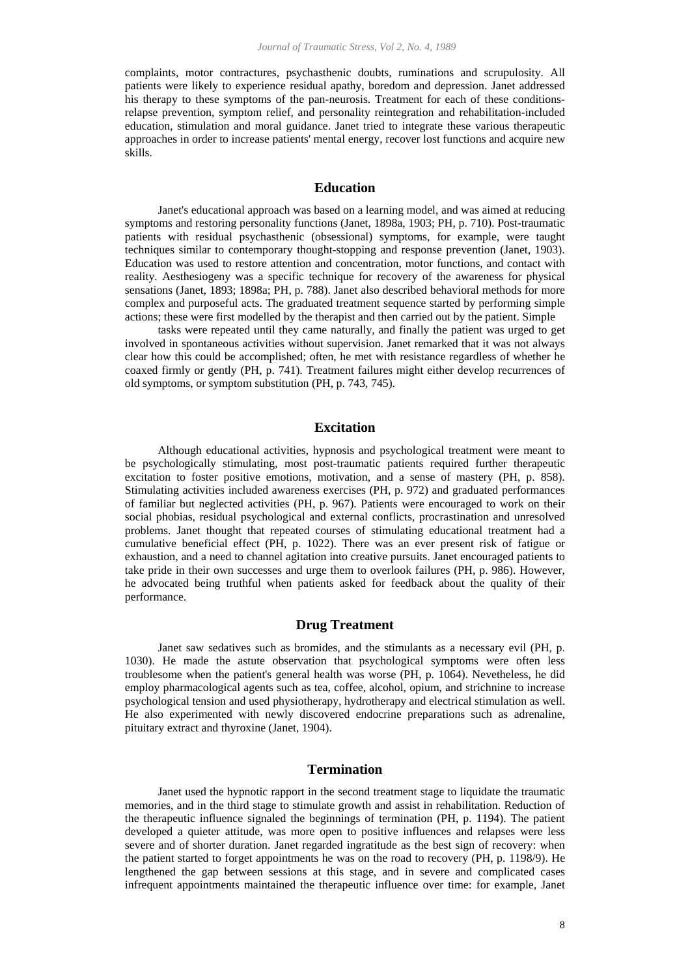complaints, motor contractures, psychasthenic doubts, ruminations and scrupulosity. All patients were likely to experience residual apathy, boredom and depression. Janet addressed his therapy to these symptoms of the pan-neurosis. Treatment for each of these conditionsrelapse prevention, symptom relief, and personality reintegration and rehabilitation-included education, stimulation and moral guidance. Janet tried to integrate these various therapeutic approaches in order to increase patients' mental energy, recover lost functions and acquire new skills.

#### **Education**

Janet's educational approach was based on a learning model, and was aimed at reducing symptoms and restoring personality functions (Janet, 1898a, 1903; PH, p. 710). Post-traumatic patients with residual psychasthenic (obsessional) symptoms, for example, were taught techniques similar to contemporary thought-stopping and response prevention (Janet, 1903). Education was used to restore attention and concentration, motor functions, and contact with reality. Aesthesiogeny was a specific technique for recovery of the awareness for physical sensations (Janet, 1893; 1898a; PH, p. 788). Janet also described behavioral methods for more complex and purposeful acts. The graduated treatment sequence started by performing simple actions; these were first modelled by the therapist and then carried out by the patient. Simple

tasks were repeated until they came naturally, and finally the patient was urged to get involved in spontaneous activities without supervision. Janet remarked that it was not always clear how this could be accomplished; often, he met with resistance regardless of whether he coaxed firmly or gently (PH, p. 741). Treatment failures might either develop recurrences of old symptoms, or symptom substitution (PH, p. 743, 745).

## **Excitation**

Although educational activities, hypnosis and psychological treatment were meant to be psychologically stimulating, most post-traumatic patients required further therapeutic excitation to foster positive emotions, motivation, and a sense of mastery (PH, p. 858). Stimulating activities included awareness exercises (PH, p. 972) and graduated performances of familiar but neglected activities (PH, p. 967). Patients were encouraged to work on their social phobias, residual psychological and external conflicts, procrastination and unresolved problems. Janet thought that repeated courses of stimulating educational treatment had a cumulative beneficial effect (PH, p. 1022). There was an ever present risk of fatigue or exhaustion, and a need to channel agitation into creative pursuits. Janet encouraged patients to take pride in their own successes and urge them to overlook failures (PH, p. 986). However, he advocated being truthful when patients asked for feedback about the quality of their performance.

#### **Drug Treatment**

Janet saw sedatives such as bromides, and the stimulants as a necessary evil (PH, p. 1030). He made the astute observation that psychological symptoms were often less troublesome when the patient's general health was worse (PH, p. 1064). Nevetheless, he did employ pharmacological agents such as tea, coffee, alcohol, opium, and strichnine to increase psychological tension and used physiotherapy, hydrotherapy and electrical stimulation as well. He also experimented with newly discovered endocrine preparations such as adrenaline, pituitary extract and thyroxine (Janet, 1904).

# **Termination**

Janet used the hypnotic rapport in the second treatment stage to liquidate the traumatic memories, and in the third stage to stimulate growth and assist in rehabilitation. Reduction of the therapeutic influence signaled the beginnings of termination (PH, p. 1194). The patient developed a quieter attitude, was more open to positive influences and relapses were less severe and of shorter duration. Janet regarded ingratitude as the best sign of recovery: when the patient started to forget appointments he was on the road to recovery (PH, p. 1198/9). He lengthened the gap between sessions at this stage, and in severe and complicated cases infrequent appointments maintained the therapeutic influence over time: for example, Janet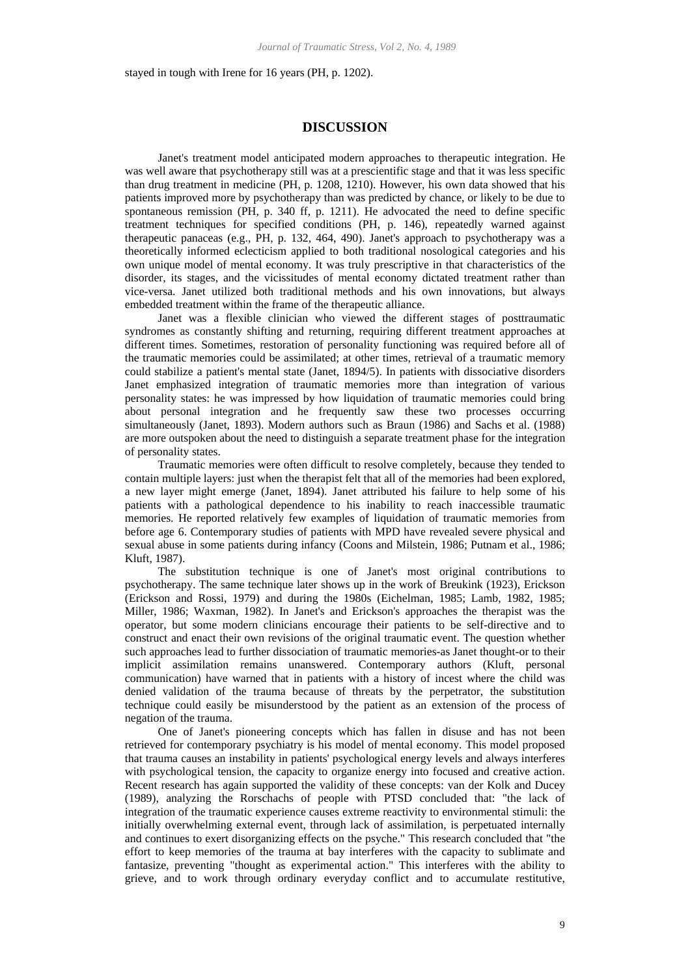stayed in tough with Irene for 16 years (PH, p. 1202).

#### **DISCUSSION**

Janet's treatment model anticipated modern approaches to therapeutic integration. He was well aware that psychotherapy still was at a prescientific stage and that it was less specific than drug treatment in medicine (PH, p. 1208, 1210). However, his own data showed that his patients improved more by psychotherapy than was predicted by chance, or likely to be due to spontaneous remission (PH, p. 340 ff, p. 1211). He advocated the need to define specific treatment techniques for specified conditions (PH, p. 146), repeatedly warned against therapeutic panaceas (e.g., PH, p. 132, 464, 490). Janet's approach to psychotherapy was a theoretically informed eclecticism applied to both traditional nosological categories and his own unique model of mental economy. It was truly prescriptive in that characteristics of the disorder, its stages, and the vicissitudes of mental economy dictated treatment rather than vice-versa. Janet utilized both traditional methods and his own innovations, but always embedded treatment within the frame of the therapeutic alliance.

Janet was a flexible clinician who viewed the different stages of posttraumatic syndromes as constantly shifting and returning, requiring different treatment approaches at different times. Sometimes, restoration of personality functioning was required before all of the traumatic memories could be assimilated; at other times, retrieval of a traumatic memory could stabilize a patient's mental state (Janet, 1894/5). In patients with dissociative disorders Janet emphasized integration of traumatic memories more than integration of various personality states: he was impressed by how liquidation of traumatic memories could bring about personal integration and he frequently saw these two processes occurring simultaneously (Janet, 1893). Modern authors such as Braun (1986) and Sachs et al. (1988) are more outspoken about the need to distinguish a separate treatment phase for the integration of personality states.

Traumatic memories were often difficult to resolve completely, because they tended to contain multiple layers: just when the therapist felt that all of the memories had been explored, a new layer might emerge (Janet, 1894). Janet attributed his failure to help some of his patients with a pathological dependence to his inability to reach inaccessible traumatic memories. He reported relatively few examples of liquidation of traumatic memories from before age 6. Contemporary studies of patients with MPD have revealed severe physical and sexual abuse in some patients during infancy (Coons and Milstein, 1986; Putnam et al., 1986; Kluft, 1987).

The substitution technique is one of Janet's most original contributions to psychotherapy. The same technique later shows up in the work of Breukink (1923), Erickson (Erickson and Rossi, 1979) and during the 1980s (Eichelman, 1985; Lamb, 1982, 1985; Miller, 1986; Waxman, 1982). In Janet's and Erickson's approaches the therapist was the operator, but some modern clinicians encourage their patients to be self-directive and to construct and enact their own revisions of the original traumatic event. The question whether such approaches lead to further dissociation of traumatic memories-as Janet thought-or to their implicit assimilation remains unanswered. Contemporary authors (Kluft, personal communication) have warned that in patients with a history of incest where the child was denied validation of the trauma because of threats by the perpetrator, the substitution technique could easily be misunderstood by the patient as an extension of the process of negation of the trauma.

One of Janet's pioneering concepts which has fallen in disuse and has not been retrieved for contemporary psychiatry is his model of mental economy. This model proposed that trauma causes an instability in patients' psychological energy levels and always interferes with psychological tension, the capacity to organize energy into focused and creative action. Recent research has again supported the validity of these concepts: van der Kolk and Ducey (1989), analyzing the Rorschachs of people with PTSD concluded that: "the lack of integration of the traumatic experience causes extreme reactivity to environmental stimuli: the initially overwhelming external event, through lack of assimilation, is perpetuated internally and continues to exert disorganizing effects on the psyche." This research concluded that "the effort to keep memories of the trauma at bay interferes with the capacity to sublimate and fantasize, preventing "thought as experimental action." This interferes with the ability to grieve, and to work through ordinary everyday conflict and to accumulate restitutive,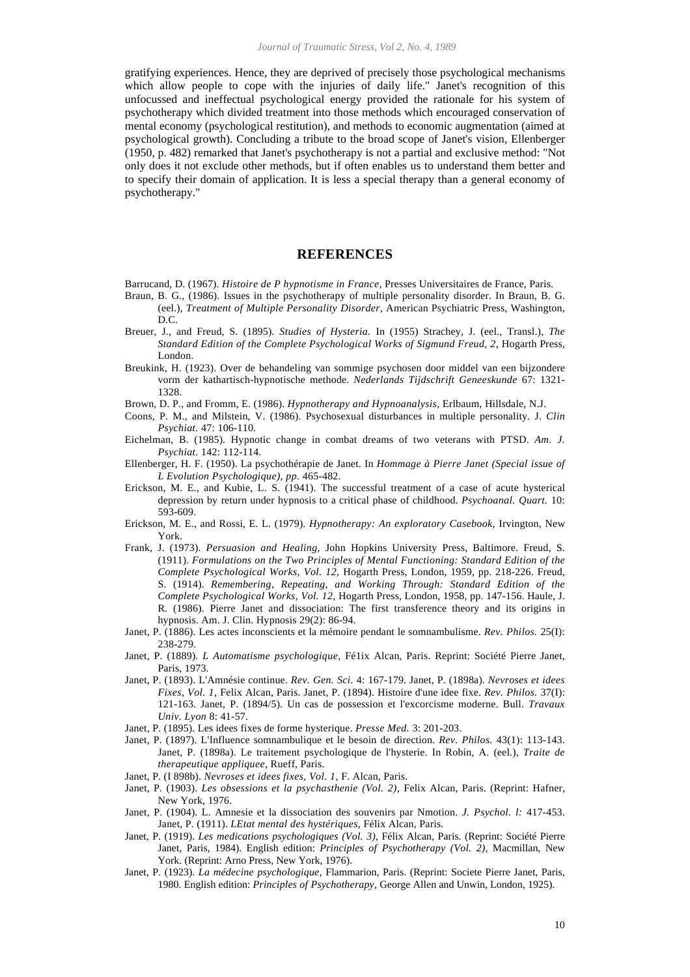gratifying experiences. Hence, they are deprived of precisely those psychological mechanisms which allow people to cope with the injuries of daily life." Janet's recognition of this unfocussed and ineffectual psychological energy provided the rationale for his system of psychotherapy which divided treatment into those methods which encouraged conservation of mental economy (psychological restitution), and methods to economic augmentation (aimed at psychological growth). Concluding a tribute to the broad scope of Janet's vision, Ellenberger (1950, p. 482) remarked that Janet's psychotherapy is not a partial and exclusive method: "Not only does it not exclude other methods, but if often enables us to understand them better and to specify their domain of application. It is less a special therapy than a general economy of psychotherapy."

## **REFERENCES**

- Barrucand, D. (1967). *Histoire de P hypnotisme in France,* Presses Universitaires de France, Paris.
- Braun, B. G., (1986). Issues in the psychotherapy of multiple personality disorder. In Braun, B. G. (eel.), *Treatment of Multiple Personality Disorder,* American Psychiatric Press, Washington, D.C.
- Breuer, J., and Freud, S. (1895). *Studies of Hysteria.* In (1955) Strachey, J. (eel., Transl.), *The Standard Edition of the Complete Psychological Works of Sigmund Freud, 2, Hogarth Press,* London.
- Breukink, H. (1923). Over de behandeling van sommige psychosen door middel van een bijzondere vorm der kathartisch-hypnotische methode. *Nederlands Tijdschrift Geneeskunde* 67: 1321- 1328.
- Brown, D. P., and Fromm, E. (1986). *Hypnotherapy and Hypnoanalysis,* Erlbaum, Hillsdale, N.J.
- Coons, P. M., and Milstein, V. (1986). Psychosexual disturbances in multiple personality. J. *Clin Psychiat.* 47: 106-110.
- Eichelman, B. (1985). Hypnotic change in combat dreams of two veterans with PTSD. *Am. J. Psychiat.* 142: 112-114.
- Ellenberger, H. F. (1950). La psychothérapie de Janet. In *Hommage à Pierre Janet (Special issue of L Evolution Psychologique), pp.* 465-482.
- Erickson, M. E., and Kubie, L. S. (1941). The successful treatment of a case of acute hysterical depression by return under hypnosis to a critical phase of childhood. *Psychoanal. Quart.* 10: 593-609.
- Erickson, M. E., and Rossi, E. L. (1979). *Hypnotherapy: An exploratory Casebook,* Irvington, New York.
- Frank, J. (1973). *Persuasion and Healing,* John Hopkins University Press, Baltimore. Freud, S. (1911). *Formulations on the Two Principles of Mental Functioning: Standard Edition of the Complete Psychological Works, Vol. 12,* Hogarth Press, London, 1959, pp. 218-226. Freud, S. (1914). *Remembering, Repeating, and Working Through: Standard Edition of the Complete Psychological Works, Vol. 12,* Hogarth Press, London, 1958, pp. 147-156. Haule, J. R. (1986). Pierre Janet and dissociation: The first transference theory and its origins in hypnosis. Am. J. Clin. Hypnosis 29(2): 86-94.
- Janet, P. (1886). Les actes inconscients et la mémoire pendant le somnambulisme. *Rev. Philos.* 25(I): 238-279.
- Janet, P. (1889). *L Automatisme psychologique,* Fé1ix Alcan, Paris. Reprint: Société Pierre Janet, Paris, 1973.
- Janet, P. (1893). L'Amnésie continue. *Rev. Gen. Sci.* 4: 167-179. Janet, P. (1898a). *Nevroses et idees Fixes, Vol. 1,* Felix Alcan, Paris. Janet, P. (1894). Histoire d'une idee fixe. *Rev. Philos.* 37(I): 121-163. Janet, P. (1894/5). Un cas de possession et l'excorcisme moderne. Bull. *Travaux Univ. Lyon* 8: 41-57.
- Janet, P. (1895). Les idees fixes de forme hysterique. *Presse Med.* 3: 201-203.
- Janet, P. (1897). L'Influence somnambulique et le besoin de direction. *Rev. Philos.* 43(1): 113-143. Janet, P. (1898a). Le traitement psychologique de l'hysterie. In Robin, A. (eel.), *Traite de therapeutique appliquee,* Rueff, Paris.
- Janet, P. (I 898b). *Nevroses et idees fixes, Vol. 1,* F. Alcan, Paris.
- Janet, P. (1903). *Les obsessions et la psychasthenie (Vol. 2),* Felix Alcan, Paris. (Reprint: Hafner, New York, 1976.
- Janet, P. (1904). L. Amnesie et la dissociation des souvenirs par Nmotion. *J. Psychol. l:* 417-453. Janet, P. (1911). *LEtat mental des hystériques,* Félix Alcan, Paris.
- Janet, P. (1919). *Les medications psychologiques (Vol. 3),* Félix Alcan, Paris. (Reprint: Société Pierre Janet, Paris, 1984). English edition: *Principles of Psychotherapy (Vol. 2),* Macmillan, New York. (Reprint: Arno Press, New York, 1976).
- Janet, P. (1923). *La médecine psychologique,* Flammarion, Paris. (Reprint: Societe Pierre Janet, Paris, 1980. English edition: *Principles of Psychotherapy,* George Allen and Unwin, London, 1925).